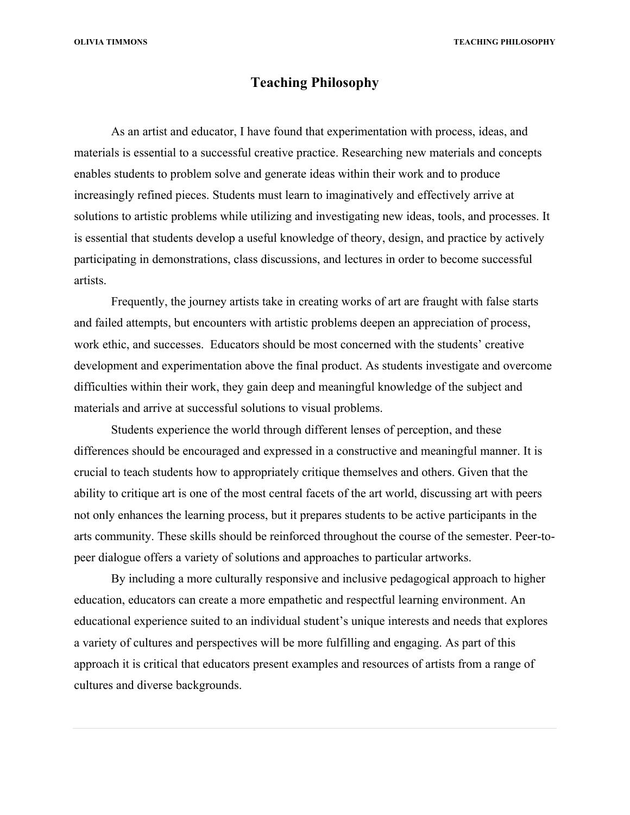**OLIVIA TIMMONS TEACHING PHILOSOPHY**

## **Teaching Philosophy**

As an artist and educator, I have found that experimentation with process, ideas, and materials is essential to a successful creative practice. Researching new materials and concepts enables students to problem solve and generate ideas within their work and to produce increasingly refined pieces. Students must learn to imaginatively and effectively arrive at solutions to artistic problems while utilizing and investigating new ideas, tools, and processes. It is essential that students develop a useful knowledge of theory, design, and practice by actively participating in demonstrations, class discussions, and lectures in order to become successful artists.

Frequently, the journey artists take in creating works of art are fraught with false starts and failed attempts, but encounters with artistic problems deepen an appreciation of process, work ethic, and successes. Educators should be most concerned with the students' creative development and experimentation above the final product. As students investigate and overcome difficulties within their work, they gain deep and meaningful knowledge of the subject and materials and arrive at successful solutions to visual problems.

Students experience the world through different lenses of perception, and these differences should be encouraged and expressed in a constructive and meaningful manner. It is crucial to teach students how to appropriately critique themselves and others. Given that the ability to critique art is one of the most central facets of the art world, discussing art with peers not only enhances the learning process, but it prepares students to be active participants in the arts community. These skills should be reinforced throughout the course of the semester. Peer-topeer dialogue offers a variety of solutions and approaches to particular artworks.

By including a more culturally responsive and inclusive pedagogical approach to higher education, educators can create a more empathetic and respectful learning environment. An educational experience suited to an individual student's unique interests and needs that explores a variety of cultures and perspectives will be more fulfilling and engaging. As part of this approach it is critical that educators present examples and resources of artists from a range of cultures and diverse backgrounds.